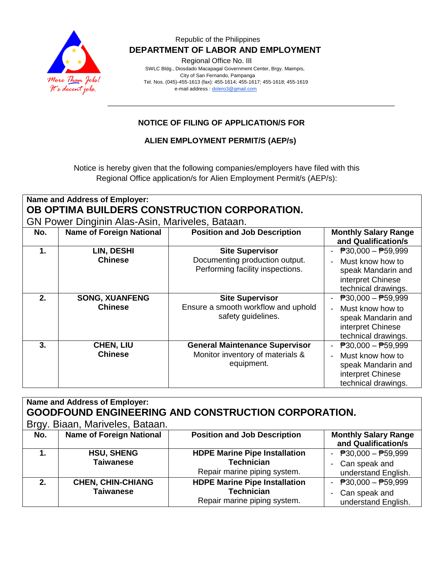

#### Republic of the Philippines  **DEPARTMENT OF LABOR AND EMPLOYMENT**

Regional Office No. III

 SWLC Bldg., Diosdado Macapagal Government Center, Brgy. Maimpis, City of San Fernando, Pampanga Tel. Nos. (045)-455-1613 (fax): 455-1614; 455-1617; 455-1618; 455-1619 e-mail address [: dolero3@gmail.com](mailto:dolero3@gmail.com)

## **NOTICE OF FILING OF APPLICATION/S FOR**

**ALIEN EMPLOYMENT PERMIT/S (AEP/s)**

Notice is hereby given that the following companies/employers have filed with this Regional Office application/s for Alien Employment Permit/s (AEP/s):

| Name and Address of Employer:<br>OB OPTIMA BUILDERS CONSTRUCTION CORPORATION.<br>GN Power Dinginin Alas-Asin, Mariveles, Bataan. |                                         |                                                                                              |                                                                                                                                 |  |  |  |
|----------------------------------------------------------------------------------------------------------------------------------|-----------------------------------------|----------------------------------------------------------------------------------------------|---------------------------------------------------------------------------------------------------------------------------------|--|--|--|
| No.                                                                                                                              | <b>Name of Foreign National</b>         | <b>Position and Job Description</b>                                                          | <b>Monthly Salary Range</b><br>and Qualification/s                                                                              |  |  |  |
| 1.                                                                                                                               | LIN, DESHI<br><b>Chinese</b>            | <b>Site Supervisor</b><br>Documenting production output.<br>Performing facility inspections. | $\overline{P}30,000 - \overline{P}59,999$<br>Must know how to<br>speak Mandarin and<br>interpret Chinese<br>technical drawings. |  |  |  |
| 2.                                                                                                                               | <b>SONG, XUANFENG</b><br><b>Chinese</b> | <b>Site Supervisor</b><br>Ensure a smooth workflow and uphold<br>safety guidelines.          | $\overline{P}30,000 - \overline{P}59,999$<br>Must know how to<br>speak Mandarin and<br>interpret Chinese<br>technical drawings. |  |  |  |
| 3.                                                                                                                               | <b>CHEN, LIU</b><br><b>Chinese</b>      | <b>General Maintenance Supervisor</b><br>Monitor inventory of materials &<br>equipment.      | $\overline{P}30,000 - \overline{P}59,999$<br>Must know how to<br>speak Mandarin and<br>interpret Chinese<br>technical drawings. |  |  |  |

| Name and Address of Employer:<br><b>GOODFOUND ENGINEERING AND CONSTRUCTION CORPORATION.</b> |                                              |                                                                                           |                                                                                   |  |  |  |
|---------------------------------------------------------------------------------------------|----------------------------------------------|-------------------------------------------------------------------------------------------|-----------------------------------------------------------------------------------|--|--|--|
| Brgy. Biaan, Mariveles, Bataan.                                                             |                                              |                                                                                           |                                                                                   |  |  |  |
| No.                                                                                         | <b>Name of Foreign National</b>              | <b>Position and Job Description</b>                                                       | <b>Monthly Salary Range</b><br>and Qualification/s                                |  |  |  |
| 1.                                                                                          | <b>HSU, SHENG</b><br><b>Taiwanese</b>        | <b>HDPE Marine Pipe Installation</b><br><b>Technician</b><br>Repair marine piping system. | - $P30,000 - P59,999$<br>Can speak and<br>understand English.                     |  |  |  |
| 2.                                                                                          | <b>CHEN, CHIN-CHIANG</b><br><b>Taiwanese</b> | <b>HDPE Marine Pipe Installation</b><br><b>Technician</b><br>Repair marine piping system. | $\overline{P}30,000 - \overline{P}59,999$<br>Can speak and<br>understand English. |  |  |  |